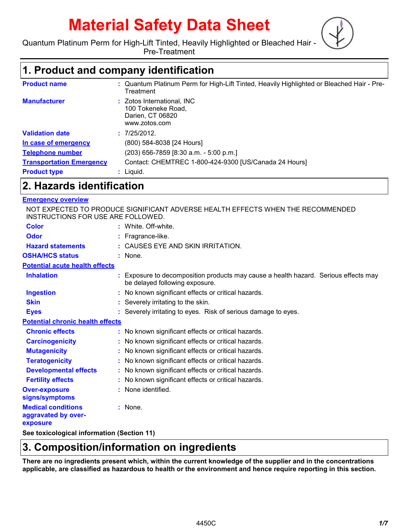# **Material Safety Data Sheet**



Quantum Platinum Perm for High-Lift Tinted, Heavily Highlighted or Bleached Hair -

Pre-Treatment

# **1. Product and company identification**

| <b>Product name</b>             | : Quantum Platinum Perm for High-Lift Tinted, Heavily Highlighted or Bleached Hair - Pre-<br>Treatment |
|---------------------------------|--------------------------------------------------------------------------------------------------------|
| <b>Manufacturer</b>             | : Zotos International, INC<br>100 Tokeneke Road,<br>Darien, CT 06820<br>www.zotos.com                  |
| <b>Validation date</b>          | : 7/25/2012.                                                                                           |
| In case of emergency            | (800) 584-8038 [24 Hours]                                                                              |
| <b>Telephone number</b>         | (203) 656-7859 [8:30 a.m. - 5:00 p.m.]                                                                 |
| <b>Transportation Emergency</b> | Contact: CHEMTREC 1-800-424-9300 [US/Canada 24 Hours]                                                  |
| <b>Product type</b>             | $:$ Liquid.                                                                                            |

### **2. Hazards identification**

### **Emergency overview**

NOT EXPECTED TO PRODUCE SIGNIFICANT ADVERSE HEALTH EFFECTS WHEN THE RECOMMENDED INSTRUCTIONS FOR USE ARE FOLLOWED.

| <b>Color</b>                                                 | : White Off-white                                                                                                     |
|--------------------------------------------------------------|-----------------------------------------------------------------------------------------------------------------------|
| Odor                                                         | : Fragrance-like.                                                                                                     |
| <b>Hazard statements</b>                                     | : CAUSES EYE AND SKIN IRRITATION.                                                                                     |
|                                                              |                                                                                                                       |
| <b>OSHA/HCS status</b>                                       | : None.                                                                                                               |
| <b>Potential acute health effects</b>                        |                                                                                                                       |
| <b>Inhalation</b>                                            | : Exposure to decomposition products may cause a health hazard. Serious effects may<br>be delayed following exposure. |
| <b>Ingestion</b>                                             | : No known significant effects or critical hazards.                                                                   |
| <b>Skin</b>                                                  | : Severely irritating to the skin.                                                                                    |
| <b>Eyes</b>                                                  | : Severely irritating to eyes. Risk of serious damage to eyes.                                                        |
| <b>Potential chronic health effects</b>                      |                                                                                                                       |
| <b>Chronic effects</b>                                       | : No known significant effects or critical hazards.                                                                   |
| <b>Carcinogenicity</b>                                       | : No known significant effects or critical hazards.                                                                   |
| <b>Mutagenicity</b>                                          | : No known significant effects or critical hazards.                                                                   |
| <b>Teratogenicity</b>                                        | : No known significant effects or critical hazards.                                                                   |
| <b>Developmental effects</b>                                 | : No known significant effects or critical hazards.                                                                   |
| <b>Fertility effects</b>                                     | : No known significant effects or critical hazards.                                                                   |
| <b>Over-exposure</b><br>signs/symptoms                       | : None identified.                                                                                                    |
| <b>Medical conditions</b><br>aggravated by over-<br>exposure | : None.                                                                                                               |
|                                                              |                                                                                                                       |

**See toxicological information (Section 11)**

# **3. Composition/information on ingredients**

**There are no ingredients present which, within the current knowledge of the supplier and in the concentrations applicable, are classified as hazardous to health or the environment and hence require reporting in this section.**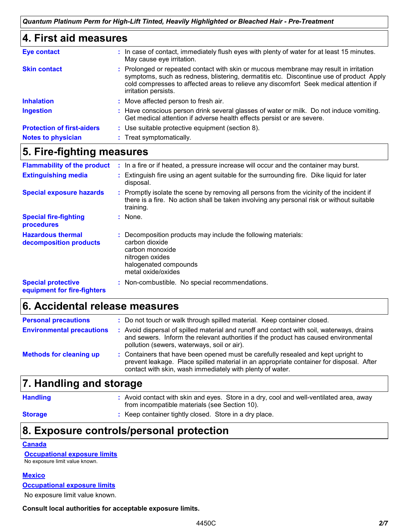| 4. First aid measures             |                                                                                                                                                                                                                                                                                                   |  |
|-----------------------------------|---------------------------------------------------------------------------------------------------------------------------------------------------------------------------------------------------------------------------------------------------------------------------------------------------|--|
| <b>Eye contact</b>                | : In case of contact, immediately flush eyes with plenty of water for at least 15 minutes.<br>May cause eye irritation.                                                                                                                                                                           |  |
| <b>Skin contact</b>               | : Prolonged or repeated contact with skin or mucous membrane may result in irritation<br>symptoms, such as redness, blistering, dermatitis etc. Discontinue use of product Apply<br>cold compresses to affected areas to relieve any discomfort Seek medical attention if<br>irritation persists. |  |
| <b>Inhalation</b>                 | : Move affected person to fresh air.                                                                                                                                                                                                                                                              |  |
| <b>Ingestion</b>                  | : Have conscious person drink several glasses of water or milk. Do not induce vomiting.<br>Get medical attention if adverse health effects persist or are severe.                                                                                                                                 |  |
| <b>Protection of first-aiders</b> | : Use suitable protective equipment (section 8).                                                                                                                                                                                                                                                  |  |
| <b>Notes to physician</b>         | : Treat symptomatically.                                                                                                                                                                                                                                                                          |  |

# **5. Fire-fighting measures**

| <b>Flammability of the product</b>                       | : In a fire or if heated, a pressure increase will occur and the container may burst.                                                                                                               |
|----------------------------------------------------------|-----------------------------------------------------------------------------------------------------------------------------------------------------------------------------------------------------|
| <b>Extinguishing media</b>                               | : Extinguish fire using an agent suitable for the surrounding fire. Dike liquid for later<br>disposal.                                                                                              |
| <b>Special exposure hazards</b>                          | : Promptly isolate the scene by removing all persons from the vicinity of the incident if<br>there is a fire. No action shall be taken involving any personal risk or without suitable<br>training. |
| <b>Special fire-fighting</b><br>procedures               | : None.                                                                                                                                                                                             |
| <b>Hazardous thermal</b><br>decomposition products       | Decomposition products may include the following materials:<br>carbon dioxide<br>carbon monoxide<br>nitrogen oxides<br>halogenated compounds<br>metal oxide/oxides                                  |
| <b>Special protective</b><br>equipment for fire-fighters | : Non-combustible. No special recommendations.                                                                                                                                                      |

# **6. Accidental release measures**

| <b>Personal precautions</b>      | : Do not touch or walk through spilled material. Keep container closed.                                                                                                                                                                   |
|----------------------------------|-------------------------------------------------------------------------------------------------------------------------------------------------------------------------------------------------------------------------------------------|
| <b>Environmental precautions</b> | : Avoid dispersal of spilled material and runoff and contact with soil, waterways, drains<br>and sewers. Inform the relevant authorities if the product has caused environmental<br>pollution (sewers, waterways, soil or air).           |
| <b>Methods for cleaning up</b>   | : Containers that have been opened must be carefully resealed and kept upright to<br>prevent leakage. Place spilled material in an appropriate container for disposal. After<br>contact with skin, wash immediately with plenty of water. |

### **7. Handling and storage**

**Handling 19.1 Tandling 19.1 Avoid contact with skin and eyes. Store in a dry, cool and well-ventilated area, away** from incompatible materials (see Section 10).

**Storage b**: Keep container tightly closed. Store in a dry place.

# **8. Exposure controls/personal protection**

**Canada**

**Occupational exposure limits** No exposure limit value known.

**Mexico**

**Occupational exposure limits**

No exposure limit value known.

**Consult local authorities for acceptable exposure limits.**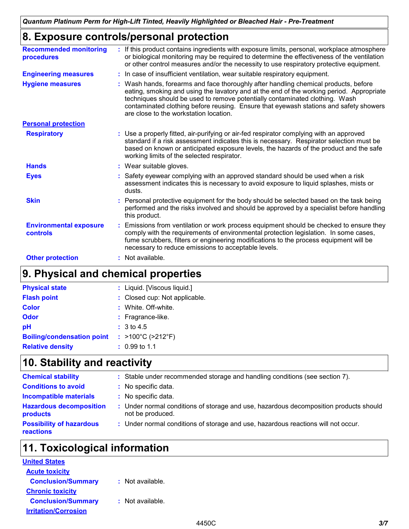# **8. Exposure controls/personal protection**

| <b>Recommended monitoring</b><br>procedures      | : If this product contains ingredients with exposure limits, personal, workplace atmosphere<br>or biological monitoring may be required to determine the effectiveness of the ventilation<br>or other control measures and/or the necessity to use respiratory protective equipment.                                                                                                              |
|--------------------------------------------------|---------------------------------------------------------------------------------------------------------------------------------------------------------------------------------------------------------------------------------------------------------------------------------------------------------------------------------------------------------------------------------------------------|
| <b>Engineering measures</b>                      | : In case of insufficient ventilation, wear suitable respiratory equipment.                                                                                                                                                                                                                                                                                                                       |
| <b>Hygiene measures</b>                          | : Wash hands, forearms and face thoroughly after handling chemical products, before<br>eating, smoking and using the lavatory and at the end of the working period. Appropriate<br>techniques should be used to remove potentially contaminated clothing. Wash<br>contaminated clothing before reusing. Ensure that eyewash stations and safety showers<br>are close to the workstation location. |
| <b>Personal protection</b>                       |                                                                                                                                                                                                                                                                                                                                                                                                   |
| <b>Respiratory</b>                               | : Use a properly fitted, air-purifying or air-fed respirator complying with an approved<br>standard if a risk assessment indicates this is necessary. Respirator selection must be<br>based on known or anticipated exposure levels, the hazards of the product and the safe<br>working limits of the selected respirator.                                                                        |
| <b>Hands</b>                                     | : Wear suitable gloves.                                                                                                                                                                                                                                                                                                                                                                           |
| <b>Eyes</b>                                      | : Safety eyewear complying with an approved standard should be used when a risk<br>assessment indicates this is necessary to avoid exposure to liquid splashes, mists or<br>dusts.                                                                                                                                                                                                                |
| <b>Skin</b>                                      | : Personal protective equipment for the body should be selected based on the task being<br>performed and the risks involved and should be approved by a specialist before handling<br>this product.                                                                                                                                                                                               |
| <b>Environmental exposure</b><br><b>controls</b> | : Emissions from ventilation or work process equipment should be checked to ensure they<br>comply with the requirements of environmental protection legislation. In some cases,<br>fume scrubbers, filters or engineering modifications to the process equipment will be<br>necessary to reduce emissions to acceptable levels.                                                                   |
| <b>Other protection</b>                          | : Not available.                                                                                                                                                                                                                                                                                                                                                                                  |

# **9. Physical and chemical properties**

| <b>Physical state</b>             | : Liquid. [Viscous liquid.]            |
|-----------------------------------|----------------------------------------|
| <b>Flash point</b>                | : Closed cup: Not applicable.          |
| <b>Color</b>                      | : White, Off-white.                    |
| <b>Odor</b>                       | $:$ Fragrance-like.                    |
| pH                                | : 3 to 4.5                             |
| <b>Boiling/condensation point</b> | : $>100^{\circ}$ C ( $>212^{\circ}$ F) |
| <b>Relative density</b>           | $: 0.99$ to 1.1                        |

# **10. Stability and reactivity**

| <b>Chemical stability</b>                    | : Stable under recommended storage and handling conditions (see section 7).                               |
|----------------------------------------------|-----------------------------------------------------------------------------------------------------------|
| <b>Conditions to avoid</b>                   | : No specific data.                                                                                       |
| <b>Incompatible materials</b>                | : No specific data.                                                                                       |
| <b>Hazardous decomposition</b><br>products   | : Under normal conditions of storage and use, hazardous decomposition products should<br>not be produced. |
| <b>Possibility of hazardous</b><br>reactions | : Under normal conditions of storage and use, hazardous reactions will not occur.                         |

# **11. Toxicological information**

| <b>United States</b>        |                  |  |
|-----------------------------|------------------|--|
| <b>Acute toxicity</b>       |                  |  |
| <b>Conclusion/Summary</b>   | : Not available. |  |
| <b>Chronic toxicity</b>     |                  |  |
| <b>Conclusion/Summary</b>   | : Not available. |  |
| <b>Irritation/Corrosion</b> |                  |  |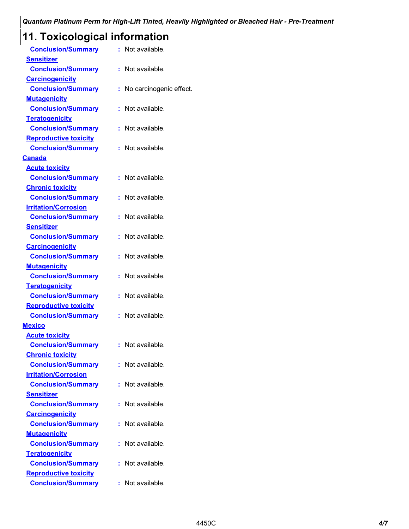# **11. Toxicological information**

| <b>Conclusion/Summary</b>                                | : Not available.          |  |
|----------------------------------------------------------|---------------------------|--|
| <b>Sensitizer</b>                                        |                           |  |
| <b>Conclusion/Summary</b>                                | : Not available.          |  |
| <b>Carcinogenicity</b>                                   |                           |  |
| <b>Conclusion/Summary</b>                                | : No carcinogenic effect. |  |
| <b>Mutagenicity</b>                                      |                           |  |
| <b>Conclusion/Summary</b>                                | : Not available.          |  |
| <b>Teratogenicity</b>                                    |                           |  |
| <b>Conclusion/Summary</b>                                | : Not available.          |  |
| <b>Reproductive toxicity</b>                             |                           |  |
| <b>Conclusion/Summary</b>                                | : Not available.          |  |
| <b>Canada</b>                                            |                           |  |
| <b>Acute toxicity</b>                                    |                           |  |
| <b>Conclusion/Summary</b>                                | : Not available.          |  |
| <b>Chronic toxicity</b>                                  |                           |  |
| <b>Conclusion/Summary</b>                                | : Not available.          |  |
| <b>Irritation/Corrosion</b>                              |                           |  |
| <b>Conclusion/Summary</b>                                | : Not available.          |  |
| <b>Sensitizer</b>                                        |                           |  |
| <b>Conclusion/Summary</b>                                | : Not available.          |  |
| <b>Carcinogenicity</b>                                   |                           |  |
| <b>Conclusion/Summary</b>                                | : Not available.          |  |
| <b>Mutagenicity</b>                                      |                           |  |
| <b>Conclusion/Summary</b>                                | : Not available.          |  |
| <b>Teratogenicity</b>                                    |                           |  |
| <b>Conclusion/Summary</b>                                | : Not available.          |  |
| <b>Reproductive toxicity</b>                             |                           |  |
| <b>Conclusion/Summary</b>                                | : Not available.          |  |
| <b>Mexico</b>                                            |                           |  |
| <b>Acute toxicity</b>                                    |                           |  |
| <b>Conclusion/Summary</b>                                | : Not available.          |  |
| <b>Chronic toxicity</b>                                  |                           |  |
| <b>Conclusion/Summary</b>                                | : Not available.          |  |
| <b>Irritation/Corrosion</b><br><b>Conclusion/Summary</b> | : Not available.          |  |
| <b>Sensitizer</b>                                        |                           |  |
| <b>Conclusion/Summary</b>                                | : Not available.          |  |
| <b>Carcinogenicity</b>                                   |                           |  |
| <b>Conclusion/Summary</b>                                | : Not available.          |  |
| <b>Mutagenicity</b>                                      |                           |  |
| <b>Conclusion/Summary</b>                                | : Not available.          |  |
| <b>Teratogenicity</b>                                    |                           |  |
| <b>Conclusion/Summary</b>                                | : Not available.          |  |
| <b>Reproductive toxicity</b>                             |                           |  |
| <b>Conclusion/Summary</b>                                | : Not available.          |  |
|                                                          |                           |  |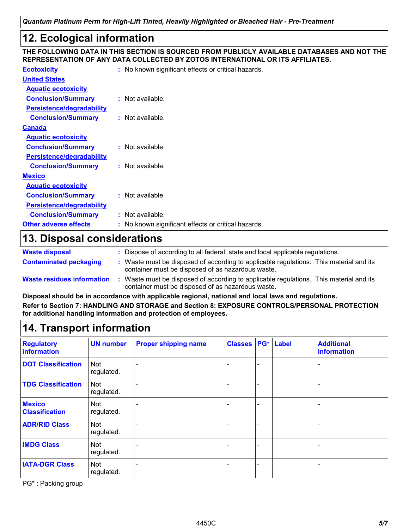# **12. Ecological information**

### **THE FOLLOWING DATA IN THIS SECTION IS SOURCED FROM PUBLICLY AVAILABLE DATABASES AND NOT THE REPRESENTATION OF ANY DATA COLLECTED BY ZOTOS INTERNATIONAL OR ITS AFFILIATES.**

| <b>Ecotoxicity</b>           | : No known significant effects or critical hazards. |
|------------------------------|-----------------------------------------------------|
| <b>United States</b>         |                                                     |
| <b>Aquatic ecotoxicity</b>   |                                                     |
| <b>Conclusion/Summary</b>    | $:$ Not available.                                  |
| Persistence/degradability    |                                                     |
| <b>Conclusion/Summary</b>    | $:$ Not available.                                  |
| Canada                       |                                                     |
| <b>Aquatic ecotoxicity</b>   |                                                     |
| <b>Conclusion/Summary</b>    | : Not available.                                    |
| Persistence/degradability    |                                                     |
| <b>Conclusion/Summary</b>    | $:$ Not available.                                  |
| <u>Mexico</u>                |                                                     |
| <b>Aquatic ecotoxicity</b>   |                                                     |
| <b>Conclusion/Summary</b>    | $:$ Not available.                                  |
| Persistence/degradability    |                                                     |
| <b>Conclusion/Summary</b>    | : Not available.                                    |
| <b>Other adverse effects</b> | : No known significant effects or critical hazards. |
|                              |                                                     |

# **13. Disposal considerations**

| <b>Waste disposal</b>             | Dispose of according to all federal, state and local applicable regulations.                                                                |
|-----------------------------------|---------------------------------------------------------------------------------------------------------------------------------------------|
| <b>Contaminated packaging</b>     | : Waste must be disposed of according to applicable regulations. This material and its<br>container must be disposed of as hazardous waste. |
| <b>Waste residues information</b> | Waste must be disposed of according to applicable regulations. This material and its<br>container must be disposed of as hazardous waste.   |

**Disposal should be in accordance with applicable regional, national and local laws and regulations. Refer to Section 7: HANDLING AND STORAGE and Section 8: EXPOSURE CONTROLS/PERSONAL PROTECTION for additional handling information and protection of employees.**

# **14. Transport information**

| <b>Regulatory</b><br>information       | <b>UN number</b>         | <b>Proper shipping name</b> | <b>Classes</b> | PG* | Label | <b>Additional</b><br>information |
|----------------------------------------|--------------------------|-----------------------------|----------------|-----|-------|----------------------------------|
| <b>DOT Classification</b>              | <b>Not</b><br>regulated. | $\overline{\phantom{0}}$    |                |     |       |                                  |
| <b>TDG Classification</b>              | <b>Not</b><br>regulated. |                             |                |     |       |                                  |
| <b>Mexico</b><br><b>Classification</b> | <b>Not</b><br>regulated. |                             |                |     |       |                                  |
| <b>ADR/RID Class</b>                   | <b>Not</b><br>regulated. |                             |                |     |       |                                  |
| <b>IMDG Class</b>                      | Not<br>regulated.        | $\overline{\phantom{0}}$    |                |     |       |                                  |
| <b>IATA-DGR Class</b>                  | <b>Not</b><br>regulated. | -                           |                |     |       |                                  |

PG\* : Packing group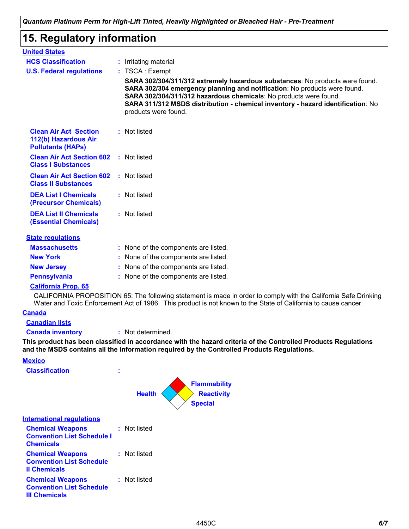# **15. Regulatory information**

| : Irritating material<br>: TSCA : Exempt<br>SARA 302/304/311/312 extremely hazardous substances: No products were found.<br>SARA 302/304 emergency planning and notification: No products were found.<br>SARA 302/304/311/312 hazardous chemicals: No products were found.<br>SARA 311/312 MSDS distribution - chemical inventory - hazard identification: No<br>products were found.<br>: Not listed |
|-------------------------------------------------------------------------------------------------------------------------------------------------------------------------------------------------------------------------------------------------------------------------------------------------------------------------------------------------------------------------------------------------------|
|                                                                                                                                                                                                                                                                                                                                                                                                       |
|                                                                                                                                                                                                                                                                                                                                                                                                       |
|                                                                                                                                                                                                                                                                                                                                                                                                       |
|                                                                                                                                                                                                                                                                                                                                                                                                       |
|                                                                                                                                                                                                                                                                                                                                                                                                       |
| <b>Clean Air Act Section 602 : Not listed</b>                                                                                                                                                                                                                                                                                                                                                         |
| : Not listed                                                                                                                                                                                                                                                                                                                                                                                          |
| : Not listed                                                                                                                                                                                                                                                                                                                                                                                          |
| : Not listed                                                                                                                                                                                                                                                                                                                                                                                          |
|                                                                                                                                                                                                                                                                                                                                                                                                       |
| : None of the components are listed.                                                                                                                                                                                                                                                                                                                                                                  |
| : None of the components are listed.                                                                                                                                                                                                                                                                                                                                                                  |
| : None of the components are listed.                                                                                                                                                                                                                                                                                                                                                                  |
| : None of the components are listed.                                                                                                                                                                                                                                                                                                                                                                  |
|                                                                                                                                                                                                                                                                                                                                                                                                       |
|                                                                                                                                                                                                                                                                                                                                                                                                       |

CALIFORNIA PROPOSITION 65: The following statement is made in order to comply with the California Safe Drinking Water and Toxic Enforcement Act of 1986. This product is not known to the State of California to cause cancer.

### **Canada**

**Canadian lists**

**Canada inventory :** Not determined.

**This product has been classified in accordance with the hazard criteria of the Controlled Products Regulations and the MSDS contains all the information required by the Controlled Products Regulations.**

### **Mexico**

| <b>Classification</b>                                                              | ٠<br>٠ |                                                                             |
|------------------------------------------------------------------------------------|--------|-----------------------------------------------------------------------------|
|                                                                                    |        | <b>Flammability</b><br><b>Health</b><br><b>Reactivity</b><br><b>Special</b> |
| <b>International regulations</b>                                                   |        |                                                                             |
| <b>Chemical Weapons</b><br><b>Convention List Schedule I</b><br><b>Chemicals</b>   | ÷.     | Not listed                                                                  |
| <b>Chemical Weapons</b><br><b>Convention List Schedule</b><br><b>Il Chemicals</b>  | ÷.     | Not listed                                                                  |
| <b>Chemical Weapons</b><br><b>Convention List Schedule</b><br><b>III Chemicals</b> | ÷.     | Not listed                                                                  |